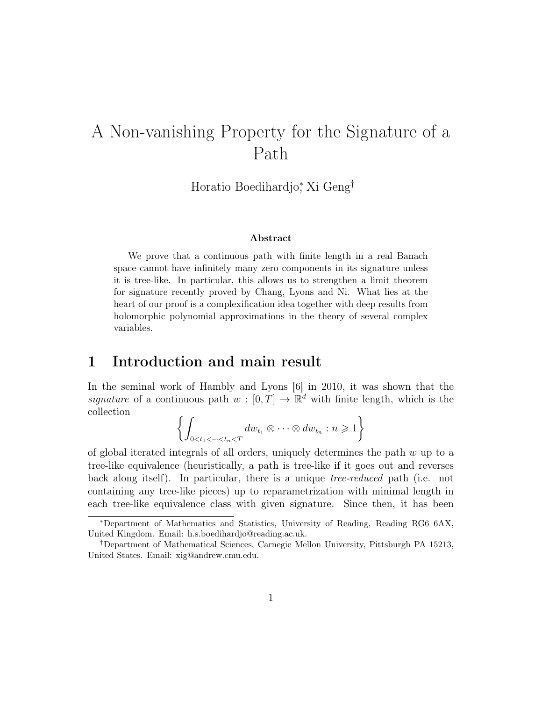# A Non-vanishing Property for the Signature of a Path

Horatio Boedihardjo<sup>∗</sup> , Xi Geng†

#### Abstract

We prove that a continuous path with finite length in a real Banach space cannot have infinitely many zero components in its signature unless it is tree-like. In particular, this allows us to strengthen a limit theorem for signature recently proved by Chang, Lyons and Ni. What lies at the heart of our proof is a complexification idea together with deep results from holomorphic polynomial approximations in the theory of several complex variables.

# 1 Introduction and main result

In the seminal work of Hambly and Lyons [6] in 2010, it was shown that the signature of a continuous path  $w : [0, T] \to \mathbb{R}^d$  with finite length, which is the collection

$$
\left\{\int_{0
$$

of global iterated integrals of all orders, uniquely determines the path  $w$  up to a tree-like equivalence (heuristically, a path is tree-like if it goes out and reverses back along itself). In particular, there is a unique tree-reduced path (i.e. not containing any tree-like pieces) up to reparametrization with minimal length in each tree-like equivalence class with given signature. Since then, it has been

<sup>∗</sup>Department of Mathematics and Statistics, University of Reading, Reading RG6 6AX, United Kingdom. Email: h.s.boedihardjo@reading.ac.uk.

<sup>†</sup>Department of Mathematical Sciences, Carnegie Mellon University, Pittsburgh PA 15213, United States. Email: xig@andrew.cmu.edu.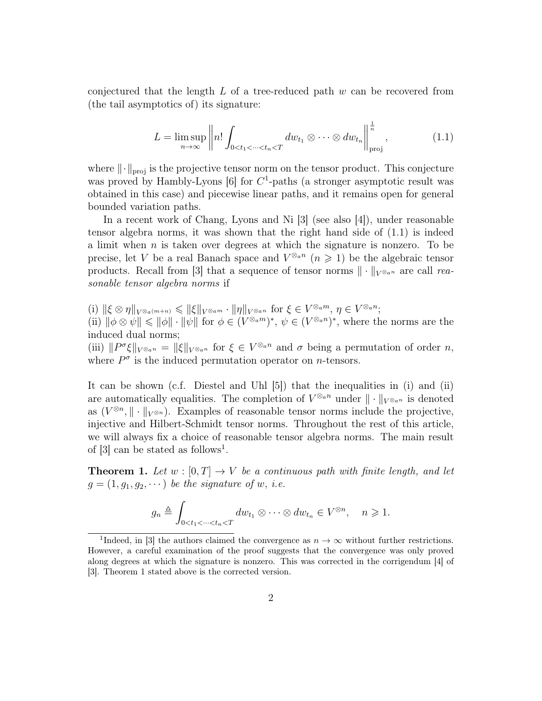conjectured that the length  $L$  of a tree-reduced path  $w$  can be recovered from (the tail asymptotics of) its signature:

$$
L = \limsup_{n \to \infty} \left\| n! \int_{0 < t_1 < \dots < t_n < T} dw_{t_1} \otimes \dots \otimes dw_{t_n} \right\|_{\text{proj}}^{\frac{1}{n}},\tag{1.1}
$$

where  $\|\cdot\|_{\text{proj}}$  is the projective tensor norm on the tensor product. This conjecture was proved by Hambly-Lyons  $[6]$  for  $C<sup>1</sup>$ -paths (a stronger asymptotic result was obtained in this case) and piecewise linear paths, and it remains open for general bounded variation paths.

In a recent work of Chang, Lyons and Ni [3] (see also [4]), under reasonable tensor algebra norms, it was shown that the right hand side of (1.1) is indeed a limit when  $n$  is taken over degrees at which the signature is nonzero. To be precise, let V be a real Banach space and  $V^{\otimes_{a}n}$   $(n \geq 1)$  be the algebraic tensor products. Recall from [3] that a sequence of tensor norms  $\|\cdot\|_{V^{\otimes}a^n}$  are call reasonable tensor algebra norms if

 $(i) \| \xi \otimes \eta \|_{V^{\otimes_a(m+n)}} \leqslant \| \xi \|_{V^{\otimes_a m}} \cdot \| \eta \|_{V^{\otimes_a n}} \text{ for } \xi \in V^{\otimes_a m}, \eta \in V^{\otimes_a n};$ (ii)  $\|\phi\otimes\psi\|\leq \|\phi\|\cdot\|\psi\|$  for  $\phi\in (V^{\otimes_a m})^*, \psi\in (V^{\otimes_a n})^*$ , where the norms are the induced dual norms;

(iii)  $||P^{\sigma}\xi||_{V^{\otimes}a^n} = ||\xi||_{V^{\otimes}a^n}$  for  $\xi \in V^{\otimes}a^n$  and  $\sigma$  being a permutation of order n, where  $P^{\sigma}$  is the induced permutation operator on *n*-tensors.

It can be shown (c.f. Diestel and Uhl [5]) that the inequalities in (i) and (ii) are automatically equalities. The completion of  $V^{\otimes_{a}n}$  under  $\|\cdot\|_{V^{\otimes_{a}n}}$  is denoted as  $(V^{\otimes n}, \|\cdot\|_{V^{\otimes n}})$ . Examples of reasonable tensor norms include the projective, injective and Hilbert-Schmidt tensor norms. Throughout the rest of this article, we will always fix a choice of reasonable tensor algebra norms. The main result of  $[3]$  can be stated as follows<sup>1</sup>.

**Theorem 1.** Let  $w : [0, T] \rightarrow V$  be a continuous path with finite length, and let  $g = (1, g_1, g_2, \dots)$  be the signature of w, i.e.

$$
g_n \triangleq \int_{0 < t_1 < \dots < t_n < T} dw_{t_1} \otimes \dots \otimes dw_{t_n} \in V^{\otimes n}, \quad n \geq 1.
$$

<sup>&</sup>lt;sup>1</sup>Indeed, in [3] the authors claimed the convergence as  $n \to \infty$  without further restrictions. However, a careful examination of the proof suggests that the convergence was only proved along degrees at which the signature is nonzero. This was corrected in the corrigendum [4] of [3]. Theorem 1 stated above is the corrected version.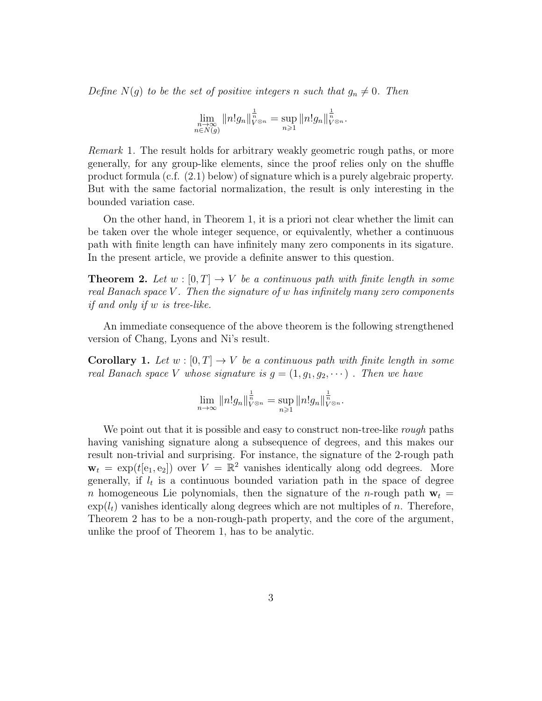Define  $N(g)$  to be the set of positive integers n such that  $g_n \neq 0$ . Then

$$
\lim_{\substack{n \to \infty \\ n \in N(g)}} \|n!g_n\|_{V^{\otimes n}}^{\frac{1}{n}} = \sup_{n \geq 1} \|n!g_n\|_{V^{\otimes n}}^{\frac{1}{n}}.
$$

Remark 1. The result holds for arbitrary weakly geometric rough paths, or more generally, for any group-like elements, since the proof relies only on the shuffle product formula (c.f. (2.1) below) of signature which is a purely algebraic property. But with the same factorial normalization, the result is only interesting in the bounded variation case.

On the other hand, in Theorem 1, it is a priori not clear whether the limit can be taken over the whole integer sequence, or equivalently, whether a continuous path with finite length can have infinitely many zero components in its sigature. In the present article, we provide a definite answer to this question.

**Theorem 2.** Let  $w : [0, T] \rightarrow V$  be a continuous path with finite length in some real Banach space  $V$ . Then the signature of  $w$  has infinitely many zero components if and only if w is tree-like.

An immediate consequence of the above theorem is the following strengthened version of Chang, Lyons and Ni's result.

**Corollary 1.** Let  $w : [0, T] \rightarrow V$  be a continuous path with finite length in some real Banach space V whose signature is  $g = (1, g_1, g_2, \dots)$ . Then we have

$$
\lim_{n\to\infty}||n!g_n||_{V^{\otimes n}}^{\frac{1}{n}}=\sup_{n\geqslant 1}||n!g_n||_{V^{\otimes n}}^{\frac{1}{n}}.
$$

We point out that it is possible and easy to construct non-tree-like *rough* paths having vanishing signature along a subsequence of degrees, and this makes our result non-trivial and surprising. For instance, the signature of the 2-rough path  $\mathbf{w}_t = \exp(t[e_1, e_2])$  over  $V = \mathbb{R}^2$  vanishes identically along odd degrees. More generally, if  $l_t$  is a continuous bounded variation path in the space of degree n homogeneous Lie polynomials, then the signature of the n-rough path  $\mathbf{w}_t =$  $\exp(l_t)$  vanishes identically along degrees which are not multiples of n. Therefore, Theorem 2 has to be a non-rough-path property, and the core of the argument, unlike the proof of Theorem 1, has to be analytic.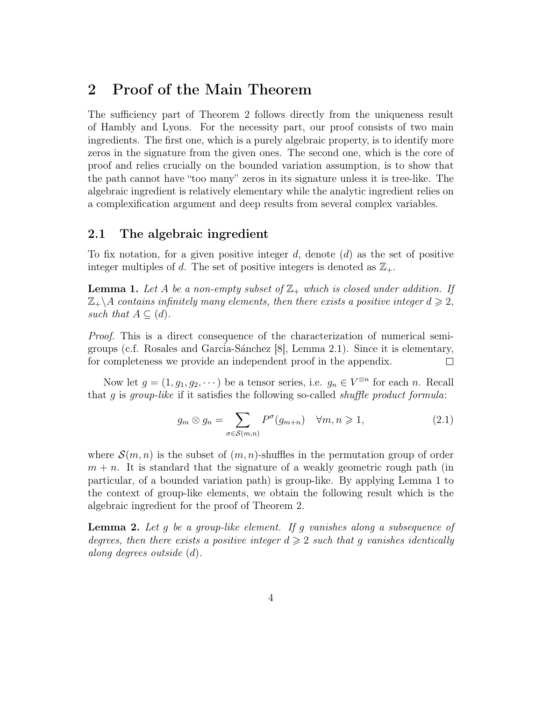# 2 Proof of the Main Theorem

The sufficiency part of Theorem 2 follows directly from the uniqueness result of Hambly and Lyons. For the necessity part, our proof consists of two main ingredients. The first one, which is a purely algebraic property, is to identify more zeros in the signature from the given ones. The second one, which is the core of proof and relies crucially on the bounded variation assumption, is to show that the path cannot have "too many" zeros in its signature unless it is tree-like. The algebraic ingredient is relatively elementary while the analytic ingredient relies on a complexification argument and deep results from several complex variables.

### 2.1 The algebraic ingredient

To fix notation, for a given positive integer  $d$ , denote  $(d)$  as the set of positive integer multiples of d. The set of positive integers is denoted as  $\mathbb{Z}_+$ .

**Lemma 1.** Let A be a non-empty subset of  $\mathbb{Z}_+$  which is closed under addition. If  $\mathbb{Z}_+\backslash A$  contains infinitely many elements, then there exists a positive integer  $d \geqslant 2$ , such that  $A \subseteq (d)$ .

Proof. This is a direct consequence of the characterization of numerical semigroups (c.f. Rosales and Garcia-Sánchez  $[8]$ , Lemma 2.1). Since it is elementary, for completeness we provide an independent proof in the appendix.  $\Box$ 

Now let  $g = (1, g_1, g_2, \dots)$  be a tensor series, i.e.  $g_n \in V^{\otimes n}$  for each n. Recall that  $g$  is group-like if it satisfies the following so-called *shuffle product formula*:

$$
g_m \otimes g_n = \sum_{\sigma \in \mathcal{S}(m,n)} P^{\sigma}(g_{m+n}) \quad \forall m, n \geqslant 1,
$$
\n(2.1)

where  $\mathcal{S}(m,n)$  is the subset of  $(m,n)$ -shuffles in the permutation group of order  $m + n$ . It is standard that the signature of a weakly geometric rough path (in particular, of a bounded variation path) is group-like. By applying Lemma 1 to the context of group-like elements, we obtain the following result which is the algebraic ingredient for the proof of Theorem 2.

**Lemma 2.** Let g be a group-like element. If g vanishes along a subsequence of degrees, then there exists a positive integer  $d \geq 2$  such that g vanishes identically along degrees outside (d).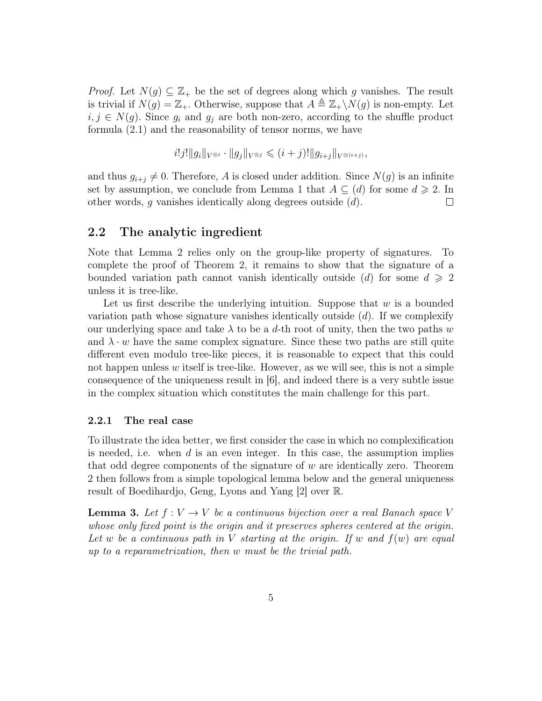*Proof.* Let  $N(g) \subseteq \mathbb{Z}_+$  be the set of degrees along which g vanishes. The result is trivial if  $N(g) = \mathbb{Z}_+$ . Otherwise, suppose that  $A \triangleq \mathbb{Z}_+ \backslash N(g)$  is non-empty. Let  $i, j \in N(g)$ . Since  $g_i$  and  $g_j$  are both non-zero, according to the shuffle product formula (2.1) and the reasonability of tensor norms, we have

$$
i!j! ||g_i||_{V^{\otimes i}} \cdot ||g_j||_{V^{\otimes j}} \leq (i+j)! ||g_{i+j}||_{V^{\otimes (i+j)}},
$$

and thus  $g_{i+j} \neq 0$ . Therefore, A is closed under addition. Since  $N(g)$  is an infinite set by assumption, we conclude from Lemma 1 that  $A \subseteq (d)$  for some  $d \ge 2$ . In other words, g vanishes identically along degrees outside (d).  $\Box$ 

#### 2.2 The analytic ingredient

Note that Lemma 2 relies only on the group-like property of signatures. To complete the proof of Theorem 2, it remains to show that the signature of a bounded variation path cannot vanish identically outside (d) for some  $d \geqslant 2$ unless it is tree-like.

Let us first describe the underlying intuition. Suppose that  $w$  is a bounded variation path whose signature vanishes identically outside  $(d)$ . If we complexify our underlying space and take  $\lambda$  to be a d-th root of unity, then the two paths w and  $\lambda \cdot w$  have the same complex signature. Since these two paths are still quite different even modulo tree-like pieces, it is reasonable to expect that this could not happen unless  $w$  itself is tree-like. However, as we will see, this is not a simple consequence of the uniqueness result in [6], and indeed there is a very subtle issue in the complex situation which constitutes the main challenge for this part.

#### 2.2.1 The real case

To illustrate the idea better, we first consider the case in which no complexification is needed, i.e. when  $d$  is an even integer. In this case, the assumption implies that odd degree components of the signature of  $w$  are identically zero. Theorem 2 then follows from a simple topological lemma below and the general uniqueness result of Boedihardjo, Geng, Lyons and Yang [2] over R.

**Lemma 3.** Let  $f: V \to V$  be a continuous bijection over a real Banach space V whose only fixed point is the origin and it preserves spheres centered at the origin. Let w be a continuous path in V starting at the origin. If w and  $f(w)$  are equal up to a reparametrization, then w must be the trivial path.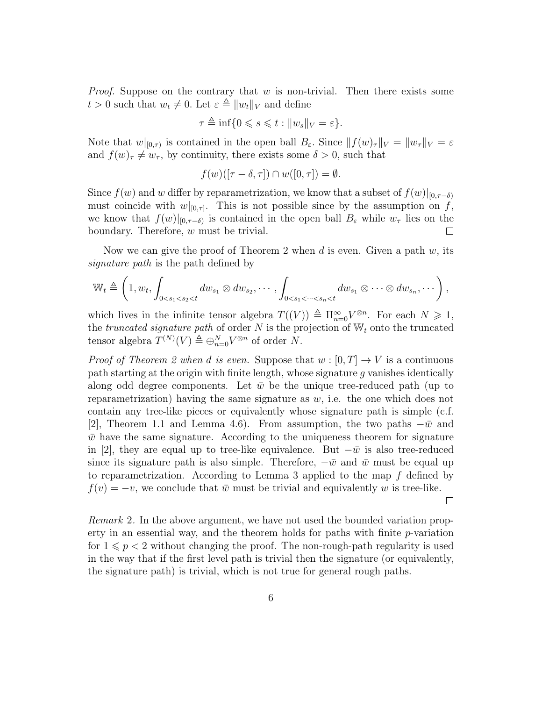*Proof.* Suppose on the contrary that  $w$  is non-trivial. Then there exists some  $t > 0$  such that  $w_t \neq 0$ . Let  $\varepsilon \triangleq ||w_t||_V$  and define

$$
\tau \triangleq \inf\{0 \leqslant s \leqslant t : \|w_s\|_V = \varepsilon\}.
$$

Note that  $w|_{[0,\tau)}$  is contained in the open ball  $B_{\varepsilon}$ . Since  $|| f(w)_{\tau} ||_V = ||w_{\tau}||_V = \varepsilon$ and  $f(w)_{\tau} \neq w_{\tau}$ , by continuity, there exists some  $\delta > 0$ , such that

$$
f(w)([\tau - \delta, \tau]) \cap w([0, \tau]) = \emptyset.
$$

Since  $f(w)$  and w differ by reparametrization, we know that a subset of  $f(w)|_{[0,\tau-\delta)}$ must coincide with  $w|_{[0,\tau]}$ . This is not possible since by the assumption on f, we know that  $f(w)|_{[0,\tau-\delta)}$  is contained in the open ball  $B_{\varepsilon}$  while  $w_{\tau}$  lies on the boundary. Therefore, w must be trivial.  $\Box$ 

Now we can give the proof of Theorem 2 when d is even. Given a path  $w$ , its signature path is the path defined by

$$
\mathbb{W}_t \triangleq \left(1, w_t, \int_{0 < s_1 < s_2 < t} dw_{s_1} \otimes dw_{s_2}, \cdots, \int_{0 < s_1 < \cdots < s_n < t} dw_{s_1} \otimes \cdots \otimes dw_{s_n}, \cdots \right),
$$

which lives in the infinite tensor algebra  $T((V)) \triangleq \prod_{n=0}^{\infty} V^{\otimes n}$ . For each  $N \geq 1$ , the truncated signature path of order  $N$  is the projection of  $\mathbb{W}_t$  onto the truncated tensor algebra  $T^{(N)}(V) \triangleq \bigoplus_{n=0}^{N} V^{\otimes n}$  of order N.

*Proof of Theorem 2 when d is even.* Suppose that  $w : [0, T] \to V$  is a continuous path starting at the origin with finite length, whose signature  $g$  vanishes identically along odd degree components. Let  $\bar{w}$  be the unique tree-reduced path (up to reparametrization) having the same signature as  $w$ , i.e. the one which does not contain any tree-like pieces or equivalently whose signature path is simple (c.f. [2], Theorem 1.1 and Lemma 4.6). From assumption, the two paths  $-\bar{w}$  and  $\bar{w}$  have the same signature. According to the uniqueness theorem for signature in [2], they are equal up to tree-like equivalence. But  $-\bar{w}$  is also tree-reduced since its signature path is also simple. Therefore,  $-\bar{w}$  and  $\bar{w}$  must be equal up to reparametrization. According to Lemma 3 applied to the map f defined by  $f(v) = -v$ , we conclude that  $\bar{w}$  must be trivial and equivalently w is tree-like.

 $\Box$ 

Remark 2. In the above argument, we have not used the bounded variation property in an essential way, and the theorem holds for paths with finite p-variation for  $1 \leqslant p < 2$  without changing the proof. The non-rough-path regularity is used in the way that if the first level path is trivial then the signature (or equivalently, the signature path) is trivial, which is not true for general rough paths.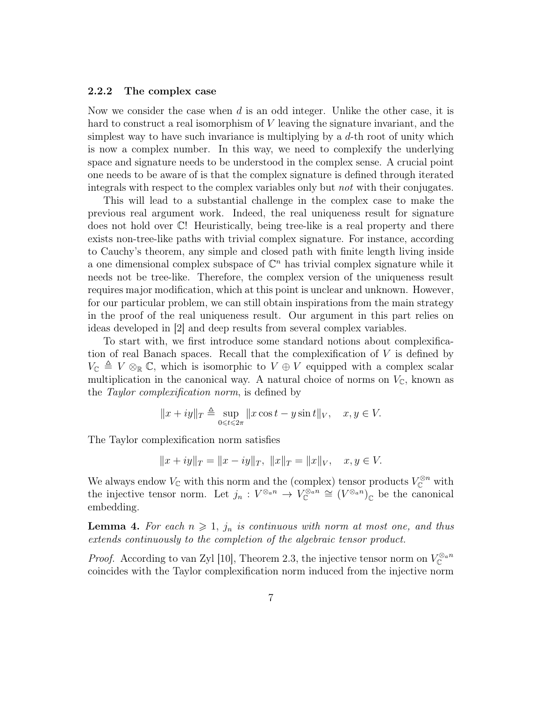#### 2.2.2 The complex case

Now we consider the case when d is an odd integer. Unlike the other case, it is hard to construct a real isomorphism of V leaving the signature invariant, and the simplest way to have such invariance is multiplying by a  $d$ -th root of unity which is now a complex number. In this way, we need to complexify the underlying space and signature needs to be understood in the complex sense. A crucial point one needs to be aware of is that the complex signature is defined through iterated integrals with respect to the complex variables only but not with their conjugates.

This will lead to a substantial challenge in the complex case to make the previous real argument work. Indeed, the real uniqueness result for signature does not hold over C! Heuristically, being tree-like is a real property and there exists non-tree-like paths with trivial complex signature. For instance, according to Cauchy's theorem, any simple and closed path with finite length living inside a one dimensional complex subspace of  $\mathbb{C}^n$  has trivial complex signature while it needs not be tree-like. Therefore, the complex version of the uniqueness result requires major modification, which at this point is unclear and unknown. However, for our particular problem, we can still obtain inspirations from the main strategy in the proof of the real uniqueness result. Our argument in this part relies on ideas developed in [2] and deep results from several complex variables.

To start with, we first introduce some standard notions about complexification of real Banach spaces. Recall that the complexification of V is defined by  $V_{\mathbb{C}} \triangleq V \otimes_{\mathbb{R}} \mathbb{C}$ , which is isomorphic to  $V \oplus V$  equipped with a complex scalar multiplication in the canonical way. A natural choice of norms on  $V_{\mathbb{C}}$ , known as the Taylor complexification norm, is defined by

$$
||x+iy||_T \triangleq \sup_{0 \leq t \leq 2\pi} ||x\cos t - y\sin t||_V, \quad x, y \in V.
$$

The Taylor complexification norm satisfies

$$
||x+iy||_T = ||x-iy||_T, ||x||_T = ||x||_V, x, y \in V.
$$

We always endow  $V_{\mathbb{C}}$  with this norm and the (complex) tensor products  $V_{\mathbb{C}}^{\otimes n}$  with the injective tensor norm. Let  $j_n: V^{\otimes_{a} n} \to V^{\otimes_{a} n}_\mathbb{C} \cong (V^{\otimes_{a} n})_\mathbb{C}$  be the canonical embedding.

**Lemma 4.** For each  $n \geq 1$ ,  $j_n$  is continuous with norm at most one, and thus extends continuously to the completion of the algebraic tensor product.

*Proof.* According to van Zyl [10], Theorem 2.3, the injective tensor norm on  $V_{\mathbb{C}}^{\otimes a_n}$ coincides with the Taylor complexification norm induced from the injective norm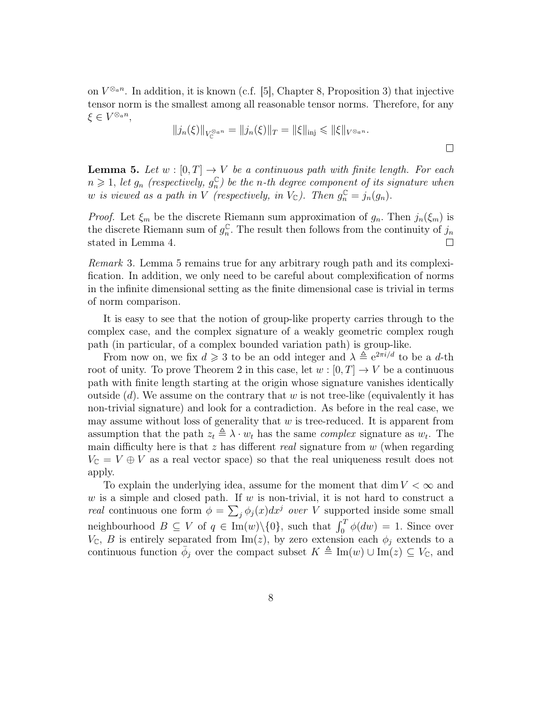on  $V^{\otimes_{a}n}$ . In addition, it is known (c.f. [5], Chapter 8, Proposition 3) that injective tensor norm is the smallest among all reasonable tensor norms. Therefore, for any  $\xi \in V^{\otimes_a n},$ 

$$
||j_n(\xi)||_{V_{\mathbb{C}}^{\otimes a_n}} = ||j_n(\xi)||_T = ||\xi||_{\text{inj}} \leq ||\xi||_{V^{\otimes a_n}}.
$$

**Lemma 5.** Let  $w : [0, T] \rightarrow V$  be a continuous path with finite length. For each  $n \geqslant 1$ , let  $g_n$  (respectively,  $g_n^{\mathbb{C}}$  $_{n}^{\mathbb{C}}$ ) be the n-th degree component of its signature when w is viewed as a path in V (respectively, in  $V_{\mathbb{C}}$ ). Then  $g_n^{\mathbb{C}} = j_n(g_n)$ .

*Proof.* Let  $\xi_m$  be the discrete Riemann sum approximation of  $g_n$ . Then  $j_n(\xi_m)$  is the discrete Riemann sum of  $g_n^{\mathbb{C}}$  $\int_{n}^{\mathbb{C}}$ . The result then follows from the continuity of  $j_n$ stated in Lemma 4.  $\Box$ 

Remark 3. Lemma 5 remains true for any arbitrary rough path and its complexification. In addition, we only need to be careful about complexification of norms in the infinite dimensional setting as the finite dimensional case is trivial in terms of norm comparison.

It is easy to see that the notion of group-like property carries through to the complex case, and the complex signature of a weakly geometric complex rough path (in particular, of a complex bounded variation path) is group-like.

From now on, we fix  $d \geq 3$  to be an odd integer and  $\lambda \triangleq e^{2\pi i/d}$  to be a d-th root of unity. To prove Theorem 2 in this case, let  $w : [0, T] \to V$  be a continuous path with finite length starting at the origin whose signature vanishes identically outside  $(d)$ . We assume on the contrary that w is not tree-like (equivalently it has non-trivial signature) and look for a contradiction. As before in the real case, we may assume without loss of generality that  $w$  is tree-reduced. It is apparent from assumption that the path  $z_t \triangleq \lambda \cdot w_t$  has the same *complex* signature as  $w_t$ . The main difficulty here is that  $z$  has different real signature from  $w$  (when regarding  $V_{\mathbb{C}} = V \oplus V$  as a real vector space) so that the real uniqueness result does not apply.

To explain the underlying idea, assume for the moment that dim  $V < \infty$  and w is a simple and closed path. If w is non-trivial, it is not hard to construct a *real* continuous one form  $\phi = \sum_j \phi_j(x) dx^j$  *over* V supported inside some small neighbourhood  $B \subseteq V$  of  $q \in \text{Im}(w) \setminus \{0\}$ , such that  $\int_0^T \phi(dw) = 1$ . Since over  $V_{\mathbb{C}}$ , B is entirely separated from  $\text{Im}(z)$ , by zero extension each  $\phi_j$  extends to a continuous function  $\bar{\phi}_j$  over the compact subset  $K \triangleq \text{Im}(w) \cup \text{Im}(z) \subseteq V_{\mathbb{C}}$ , and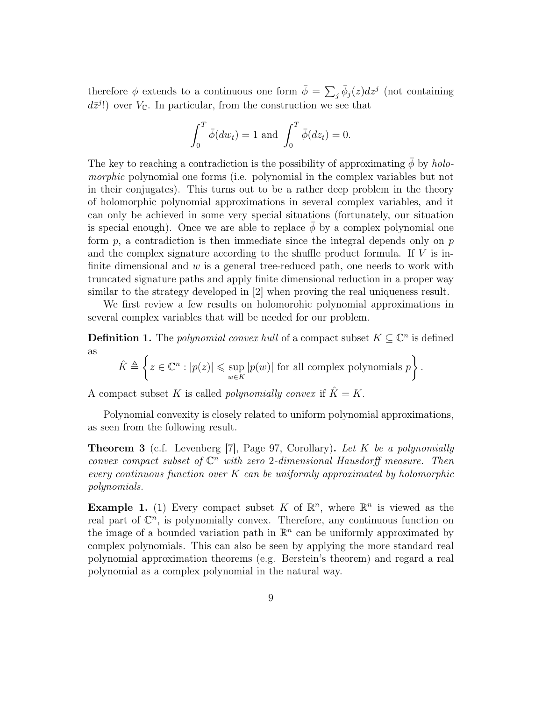therefore  $\phi$  extends to a continuous one form  $\bar{\phi} = \sum_{j} \bar{\phi}_j(z) dz^j$  (not containing  $d\bar{z}^{j}$ !) over  $V_{\mathbb{C}}$ . In particular, from the construction we see that

$$
\int_0^T \bar{\phi}(dw_t) = 1 \text{ and } \int_0^T \bar{\phi}(dz_t) = 0.
$$

The key to reaching a contradiction is the possibility of approximating  $\phi$  by holomorphic polynomial one forms (i.e. polynomial in the complex variables but not in their conjugates). This turns out to be a rather deep problem in the theory of holomorphic polynomial approximations in several complex variables, and it can only be achieved in some very special situations (fortunately, our situation is special enough). Once we are able to replace  $\phi$  by a complex polynomial one form  $p$ , a contradiction is then immediate since the integral depends only on  $p$ and the complex signature according to the shuffle product formula. If  $V$  is infinite dimensional and  $w$  is a general tree-reduced path, one needs to work with truncated signature paths and apply finite dimensional reduction in a proper way similar to the strategy developed in [2] when proving the real uniqueness result.

We first review a few results on holomorohic polynomial approximations in several complex variables that will be needed for our problem.

**Definition 1.** The *polynomial convex hull* of a compact subset  $K \subseteq \mathbb{C}^n$  is defined as  $\overline{\phantom{a}}$ 

$$
\hat{K} \triangleq \left\{ z \in \mathbb{C}^n : |p(z)| \leq \sup_{w \in K} |p(w)| \text{ for all complex polynomials } p \right\}.
$$

A compact subset K is called *polynomially convex* if  $\hat{K} = K$ .

Polynomial convexity is closely related to uniform polynomial approximations, as seen from the following result.

**Theorem 3** (c.f. Levenberg [7], Page 97, Corollary). Let K be a polynomially convex compact subset of  $\mathbb{C}^n$  with zero 2-dimensional Hausdorff measure. Then every continuous function over  $K$  can be uniformly approximated by holomorphic polynomials.

**Example 1.** (1) Every compact subset K of  $\mathbb{R}^n$ , where  $\mathbb{R}^n$  is viewed as the real part of  $\mathbb{C}^n$ , is polynomially convex. Therefore, any continuous function on the image of a bounded variation path in  $\mathbb{R}^n$  can be uniformly approximated by complex polynomials. This can also be seen by applying the more standard real polynomial approximation theorems (e.g. Berstein's theorem) and regard a real polynomial as a complex polynomial in the natural way.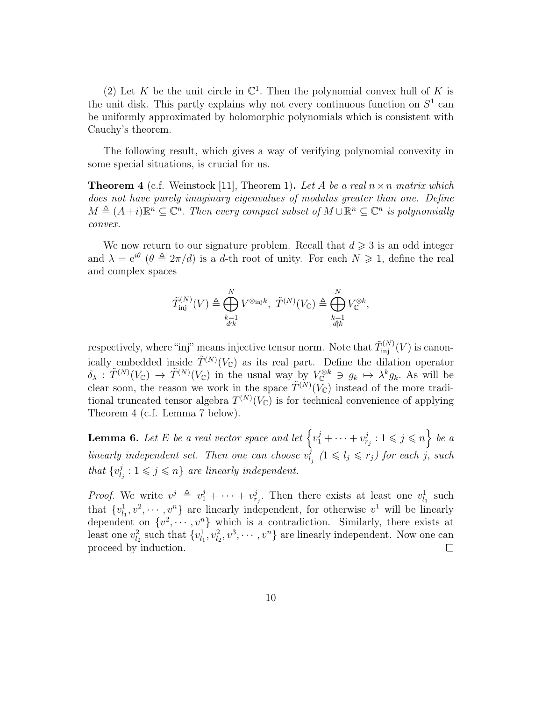(2) Let K be the unit circle in  $\mathbb{C}^1$ . Then the polynomial convex hull of K is the unit disk. This partly explains why not every continuous function on  $S^1$  can be uniformly approximated by holomorphic polynomials which is consistent with Cauchy's theorem.

The following result, which gives a way of verifying polynomial convexity in some special situations, is crucial for us.

**Theorem 4** (c.f. Weinstock [11], Theorem 1). Let A be a real  $n \times n$  matrix which does not have purely imaginary eigenvalues of modulus greater than one. Define  $M \triangleq (A+i)\mathbb{R}^n \subseteq \mathbb{C}^n$ . Then every compact subset of  $M \cup \mathbb{R}^n \subseteq \mathbb{C}^n$  is polynomially convex.

We now return to our signature problem. Recall that  $d \geq 3$  is an odd integer and  $\lambda = e^{i\theta}$  ( $\theta \triangleq 2\pi/d$ ) is a d-th root of unity. For each  $N \geq 1$ , define the real and complex spaces

$$
\tilde{T}_{\rm inj}^{(N)}(V) \triangleq \bigoplus_{\substack{k=1\\ d \nmid k}}^N V^{\otimes_{\rm inj} k}, \ \tilde{T}^{(N)}(V_{\mathbb C}) \triangleq \bigoplus_{\substack{k=1\\ d \nmid k}}^N V_{\mathbb C}^{\otimes k},
$$

respectively, where "inj" means injective tensor norm. Note that  $\tilde{T}_{\text{inj}}^{(N)}(V)$  is canonically embedded inside  $\tilde{T}^{(N)}(V_{\mathbb{C}})$  as its real part. Define the dilation operator  $\delta_{\lambda} : \tilde{T}^{(N)}(V_{\mathbb{C}}) \to \tilde{T}^{(N)}(V_{\mathbb{C}})$  in the usual way by  $V_{\mathbb{C}}^{\otimes k} \ni g_k \mapsto \lambda^k g_k$ . As will be clear soon, the reason we work in the space  $\tilde{T}^{(N)}(\tilde{V}_{\mathbb{C}})$  instead of the more traditional truncated tensor algebra  $T^{(N)}(V_{\mathbb{C}})$  is for technical convenience of applying Theorem 4 (c.f. Lemma 7 below).

**Lemma 6.** Let E be a real vector space and let  $\left\{v_1^j + \cdots + v_{r_j}^j : 1 \leqslant j \leqslant n\right\}$  be a linearly independent set. Then one can choose  $v_l^j$  $\frac{j}{l_j}$  (1  $\leqslant$   $l_j \leqslant r_j$ ) for each j, such that  $\{v_l^j\}$  $\ell_{l_j}^j : 1 \leqslant j \leqslant n$  are linearly independent.

*Proof.* We write  $v^j \triangleq v_1^j + \cdots + v_{r_j}^j$ . Then there exists at least one  $v_{l_1}^1$  such that  $\{v_{l_1}^1, v^2, \dots, v^n\}$  are linearly independent, for otherwise  $v^1$  will be linearly dependent on  $\{v^2, \dots, v^n\}$  which is a contradiction. Similarly, there exists at least one  $v_{l_2}^2$  such that  $\{v_{l_1}^1, v_{l_2}^2, v^3, \cdots, v^n\}$  are linearly independent. Now one can proceed by induction.  $\Box$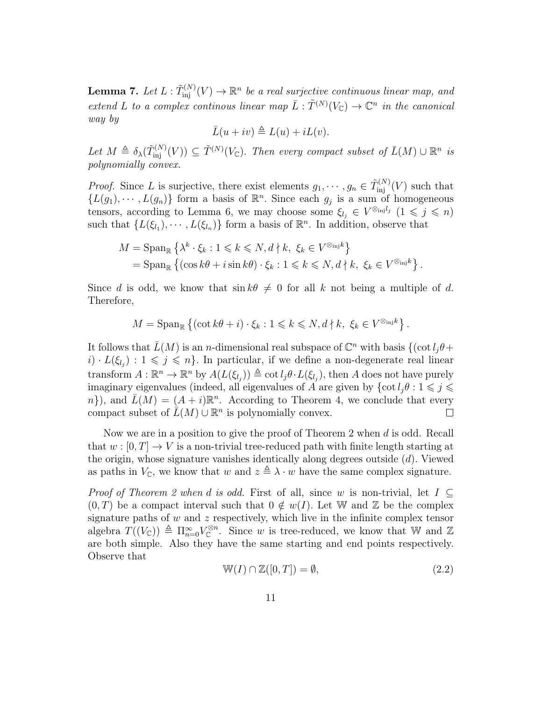**Lemma 7.** Let  $L : \tilde{T}_{\text{inj}}^{(N)}(V) \to \mathbb{R}^n$  be a real surjective continuous linear map, and extend L to a complex continuos linear map  $\overline{L} : \tilde{T}^{(N)}(V_{\mathbb{C}}) \to \mathbb{C}^n$  in the canonical way by

$$
\bar{L}(u+iv) \triangleq L(u) + iL(v).
$$

Let  $M \triangleq \delta_{\lambda}(\tilde{T}_{\text{inj}}^{(N)}(V)) \subseteq \tilde{T}^{(N)}(V_{\mathbb{C}})$ . Then every compact subset of  $\bar{L}(M) \cup \mathbb{R}^n$  is polynomially convex.

*Proof.* Since L is surjective, there exist elements  $g_1, \dots, g_n \in \tilde{T}_{\text{inj}}^{(N)}(V)$  such that  $\{L(g_1), \cdots, L(g_n)\}\$  form a basis of  $\mathbb{R}^n$ . Since each  $g_j$  is a sum of homogeneous tensors, according to Lemma 6, we may choose some  $\xi_{l_j} \in V^{\otimes_{\text{inj}} l_j}$   $(1 \leq j \leq n)$ such that  $\{L(\xi_{l_1}), \cdots, L(\xi_{l_n})\}$  form a basis of  $\mathbb{R}^n$ . In addition, observe that

$$
M = \operatorname{Span}_{\mathbb{R}} \left\{ \lambda^k \cdot \xi_k : 1 \leq k \leq N, d \nmid k, \xi_k \in V^{\otimes_{\text{inj}} k} \right\}
$$
  
= 
$$
\operatorname{Span}_{\mathbb{R}} \left\{ (\cos k\theta + i \sin k\theta) \cdot \xi_k : 1 \leq k \leq N, d \nmid k, \xi_k \in V^{\otimes_{\text{inj}} k} \right\}.
$$

Since d is odd, we know that  $\sin k\theta \neq 0$  for all k not being a multiple of d. Therefore,

$$
M = \operatorname{Span}_{\mathbb{R}} \left\{ (\cot k\theta + i) \cdot \xi_k : 1 \leq k \leq N, d \nmid k, \xi_k \in V^{\otimes_{\text{inj}} k} \right\}.
$$

It follows that  $\bar{L}(M)$  is an n-dimensional real subspace of  $\mathbb{C}^n$  with basis  $\{(\cot l_j\theta + \cot m_k)\}$  $i) \cdot L(\xi_{l_i}) : 1 \leqslant j \leqslant n$ . In particular, if we define a non-degenerate real linear transform  $A: \mathbb{R}^n \to \mathbb{R}^n$  by  $A(L(\xi_{l_j})) \triangleq \cot l_j \theta \cdot L(\xi_{l_j}),$  then A does not have purely imaginary eigenvalues (indeed, all eigenvalues of A are given by  $\{\cot l_i\theta : 1 \leq j \leq \theta\}$ n}), and  $\overline{L}(M) = (A + i)\mathbb{R}^n$ . According to Theorem 4, we conclude that every compact subset of  $\bar{L}(M) \cup \mathbb{R}^n$  is polynomially convex.  $\Box$ 

Now we are in a position to give the proof of Theorem 2 when d is odd. Recall that  $w : [0, T] \to V$  is a non-trivial tree-reduced path with finite length starting at the origin, whose signature vanishes identically along degrees outside (d). Viewed as paths in  $V_{\mathbb{C}}$ , we know that w and  $z \triangleq \lambda \cdot w$  have the same complex signature.

*Proof of Theorem 2 when d is odd.* First of all, since w is non-trivial, let  $I \subseteq$  $(0, T)$  be a compact interval such that  $0 \notin w(I)$ . Let W and Z be the complex signature paths of  $w$  and  $z$  respectively, which live in the infinite complex tensor algebra  $T((V_{\mathbb{C}})) \triangleq \Pi_{n=0}^{\infty} V_{\mathbb{C}}^{\otimes n}$ . Since w is tree-reduced, we know that W and Z are both simple. Also they have the same starting and end points respectively. Observe that

$$
\mathbb{W}(I) \cap \mathbb{Z}([0,T]) = \emptyset,
$$
\n(2.2)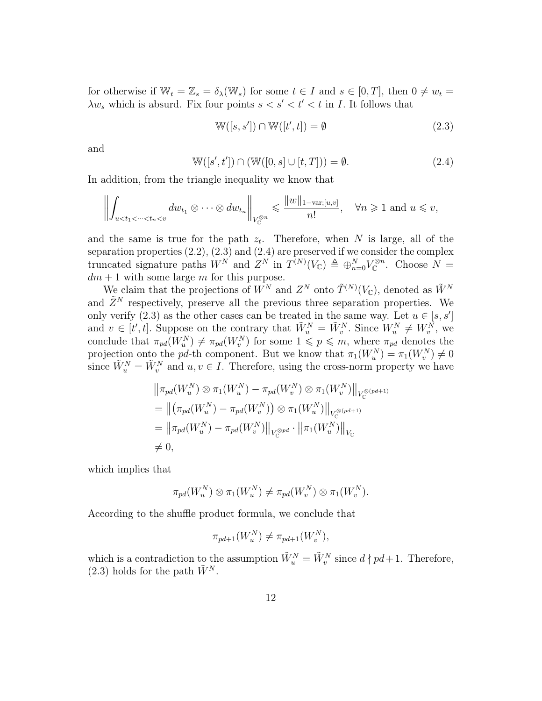for otherwise if  $\mathbb{W}_t = \mathbb{Z}_s = \delta_\lambda(\mathbb{W}_s)$  for some  $t \in I$  and  $s \in [0, T]$ , then  $0 \neq w_t =$  $\lambda w_s$  which is absurd. Fix four points  $s < s' < t' < t$  in I. It follows that

$$
\mathbb{W}([s, s']) \cap \mathbb{W}([t', t]) = \emptyset \tag{2.3}
$$

and

$$
\mathbb{W}([s', t']) \cap (\mathbb{W}([0, s] \cup [t, T])) = \emptyset.
$$
\n(2.4)

In addition, from the triangle inequality we know that

$$
\left\|\int_{u
$$

and the same is true for the path  $z_t$ . Therefore, when N is large, all of the separation properties  $(2.2)$ ,  $(2.3)$  and  $(2.4)$  are preserved if we consider the complex truncated signature paths  $W^N$  and  $Z^N$  in  $T^{(N)}(V_{\mathbb{C}}) \triangleq \bigoplus_{n=0}^N V_{\mathbb{C}}^{\otimes n}$ . Choose  $N =$  $dm + 1$  with some large m for this purpose.

We claim that the projections of  $\overline{W}^N$  and  $Z^N$  onto  $\tilde{T}^{(N)}(V_{\mathbb{C}})$ , denoted as  $\tilde{W}^N$ and  $\tilde{Z}^N$  respectively, preserve all the previous three separation properties. We only verify (2.3) as the other cases can be treated in the same way. Let  $u \in [s, s']$ and  $v \in [t', t]$ . Suppose on the contrary that  $\tilde{W}_u^N = \tilde{W}_v^N$ . Since  $W_u^N \neq W_v^N$ , we conclude that  $\pi_{pd}(W_u^N) \neq \pi_{pd}(W_v^N)$  for some  $1 \leqslant p \leqslant m$ , where  $\pi_{pd}$  denotes the projection onto the pd-th component. But we know that  $\pi_1(W_u^N) = \pi_1(W_v^N) \neq 0$ since  $\tilde{W}_u^N = \tilde{W}_v^N$  and  $u, v \in I$ . Therefore, using the cross-norm property we have

$$
\|\pi_{pd}(W_u^N) \otimes \pi_1(W_u^N) - \pi_{pd}(W_v^N) \otimes \pi_1(W_v^N)\|_{V_{\mathbb{C}}^{\otimes (pd+1)}}
$$
  
\n
$$
= \|(\pi_{pd}(W_u^N) - \pi_{pd}(W_v^N)) \otimes \pi_1(W_u^N)\|_{V_{\mathbb{C}}^{\otimes (pd+1)}}
$$
  
\n
$$
= \|\pi_{pd}(W_u^N) - \pi_{pd}(W_v^N)\|_{V_{\mathbb{C}}^{\otimes pd}} \cdot \|\pi_1(W_u^N)\|_{V_{\mathbb{C}}}
$$
  
\n
$$
\neq 0,
$$

which implies that

$$
\pi_{pd}(W_u^N) \otimes \pi_1(W_u^N) \neq \pi_{pd}(W_v^N) \otimes \pi_1(W_v^N).
$$

According to the shuffle product formula, we conclude that

$$
\pi_{pd+1}(W_u^N) \neq \pi_{pd+1}(W_v^N),
$$

which is a contradiction to the assumption  $\tilde{W}_u^N = \tilde{W}_v^N$  since  $d \nmid pd+1$ . Therefore,  $(2.3)$  holds for the path  $\tilde{W}^N$ .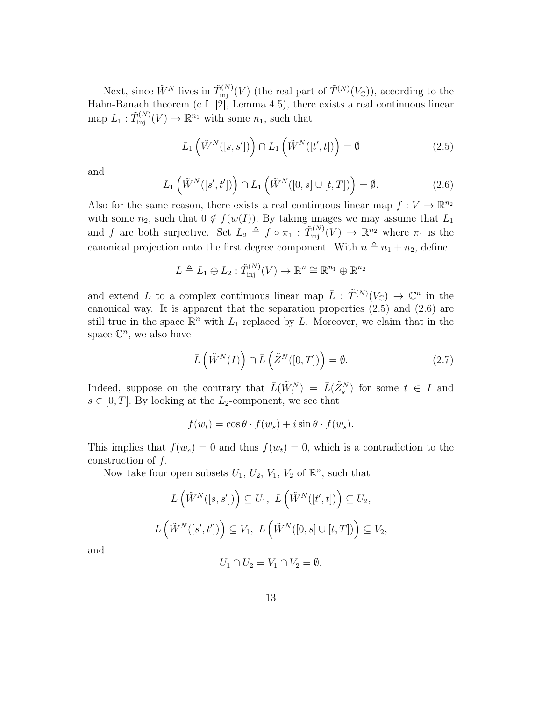Next, since  $\tilde{W}^N$  lives in  $\tilde{T}_{\rm inj}^{(N)}(V)$  (the real part of  $\tilde{T}^{(N)}(V_{\mathbb{C}})$ ), according to the Hahn-Banach theorem (c.f. [2], Lemma 4.5), there exists a real continuous linear map  $L_1: \tilde{T}_{\rm inj}^{(N)}(V) \to \mathbb{R}^{n_1}$  with some  $n_1$ , such that

$$
L_1\left(\tilde{W}^N([s,s'])\right) \cap L_1\left(\tilde{W}^N([t',t])\right) = \emptyset \tag{2.5}
$$

and

$$
L_1\left(\tilde{W}^N([s',t'])\right) \cap L_1\left(\tilde{W}^N([0,s] \cup [t,T])\right) = \emptyset.
$$
\n(2.6)

Also for the same reason, there exists a real continuous linear map  $f: V \to \mathbb{R}^{n_2}$ with some  $n_2$ , such that  $0 \notin f(w(I))$ . By taking images we may assume that  $L_1$ and f are both surjective. Set  $L_2 \triangleq f \circ \pi_1 : \tilde{T}_{\text{inj}}^{(N)}(V) \to \mathbb{R}^{n_2}$  where  $\pi_1$  is the canonical projection onto the first degree component. With  $n \triangleq n_1 + n_2$ , define

$$
L \triangleq L_1 \oplus L_2 : \tilde{T}_{\text{inj}}^{(N)}(V) \to \mathbb{R}^n \cong \mathbb{R}^{n_1} \oplus \mathbb{R}^{n_2}
$$

and extend L to a complex continuous linear map  $\overline{L}$  :  $\widetilde{T}^{(N)}(V_{\mathbb{C}}) \to \mathbb{C}^n$  in the canonical way. It is apparent that the separation properties (2.5) and (2.6) are still true in the space  $\mathbb{R}^n$  with  $L_1$  replaced by L. Moreover, we claim that in the space  $\mathbb{C}^n$ , we also have

$$
\bar{L}(\tilde{W}^N(I)) \cap \bar{L}(\tilde{Z}^N([0,T])) = \emptyset.
$$
\n(2.7)

Indeed, suppose on the contrary that  $\bar{L}(\tilde{W}^N_t) = \bar{L}(\tilde{Z}^N_s)$  for some  $t \in I$  and  $s \in [0, T]$ . By looking at the L<sub>2</sub>-component, we see that

$$
f(w_t) = \cos \theta \cdot f(w_s) + i \sin \theta \cdot f(w_s).
$$

This implies that  $f(w_s) = 0$  and thus  $f(w_t) = 0$ , which is a contradiction to the construction of f.

Now take four open subsets  $U_1, U_2, V_1, V_2$  of  $\mathbb{R}^n$ , such that

$$
L(\tilde{W}^N([s,s'])\subseteq U_1, L(\tilde{W}^N([t',t])\subseteq U_2,
$$
  

$$
L(\tilde{W}^N([s',t'])\subseteq V_1, L(\tilde{W}^N([0,s]\cup [t,T])\subseteq V_2,
$$

and

$$
U_1 \cap U_2 = V_1 \cap V_2 = \emptyset.
$$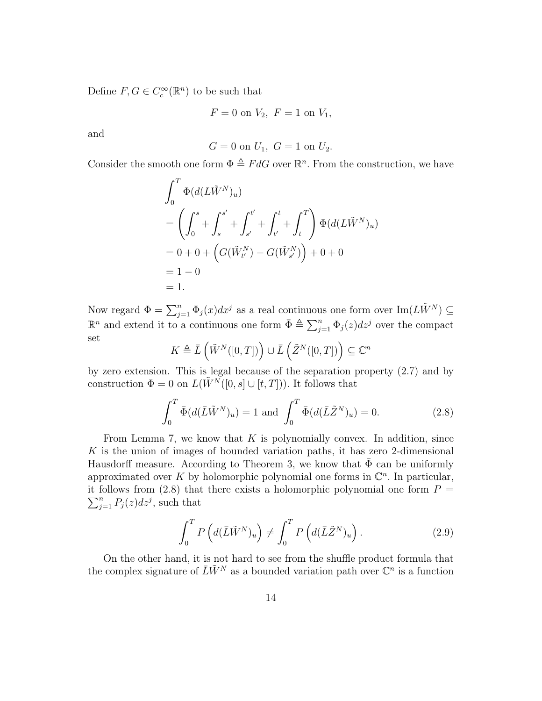Define  $F, G \in C_c^{\infty}(\mathbb{R}^n)$  to be such that

$$
F = 0
$$
 on  $V_2$ ,  $F = 1$  on  $V_1$ ,

and

$$
G = 0
$$
 on  $U_1$ ,  $G = 1$  on  $U_2$ .

Consider the smooth one form  $\Phi \triangleq F dG$  over  $\mathbb{R}^n$ . From the construction, we have

$$
\int_0^T \Phi(d(L\tilde{W}^N)_u) \n= \left(\int_0^s + \int_s^{s'} + \int_{s'}^{t'} + \int_{t'}^t + \int_t^T\right) \Phi(d(L\tilde{W}^N)_u) \n= 0 + 0 + \left(G(\tilde{W}_{t'}^N) - G(\tilde{W}_{s'}^N)\right) + 0 + 0 \n= 1 - 0 \n= 1.
$$

Now regard  $\Phi = \sum_{j=1}^n \Phi_j(x) dx^j$  as a real continuous one form over  $\text{Im}(L\tilde{W}^N) \subseteq$  $\mathbb{R}^n$  and extend it to a continuous one form  $\bar{\Phi} \triangleq \sum_{j=1}^n \Phi_j(z) dz^j$  over the compact set

$$
K \triangleq \bar{L} \left( \tilde{W}^N([0,T]) \right) \cup \bar{L} \left( \tilde{Z}^N([0,T]) \right) \subseteq \mathbb{C}^n
$$

by zero extension. This is legal because of the separation property (2.7) and by construction  $\Phi = 0$  on  $L(\tilde{W}^N([0, s] \cup [t, T]))$ . It follows that

$$
\int_0^T \bar{\Phi}(d(\bar{L}\tilde{W}^N)_u) = 1 \text{ and } \int_0^T \bar{\Phi}(d(\bar{L}\tilde{Z}^N)_u) = 0.
$$
 (2.8)

From Lemma 7, we know that  $K$  is polynomially convex. In addition, since K is the union of images of bounded variation paths, it has zero 2-dimensional Hausdorff measure. According to Theorem 3, we know that  $\Phi$  can be uniformly approximated over K by holomorphic polynomial one forms in  $\mathbb{C}^n$ . In particular,  $\sum_{j=1}^{n} P_j(z) dz^j$ , such that it follows from (2.8) that there exists a holomorphic polynomial one form  $P =$ 

$$
\int_0^T P\left(d(\bar{L}\tilde{W}^N)_u\right) \neq \int_0^T P\left(d(\bar{L}\tilde{Z}^N)_u\right). \tag{2.9}
$$

On the other hand, it is not hard to see from the shuffle product formula that the complex signature of  $\bar{L}\tilde{W}^N$  as a bounded variation path over  $\mathbb{C}^n$  is a function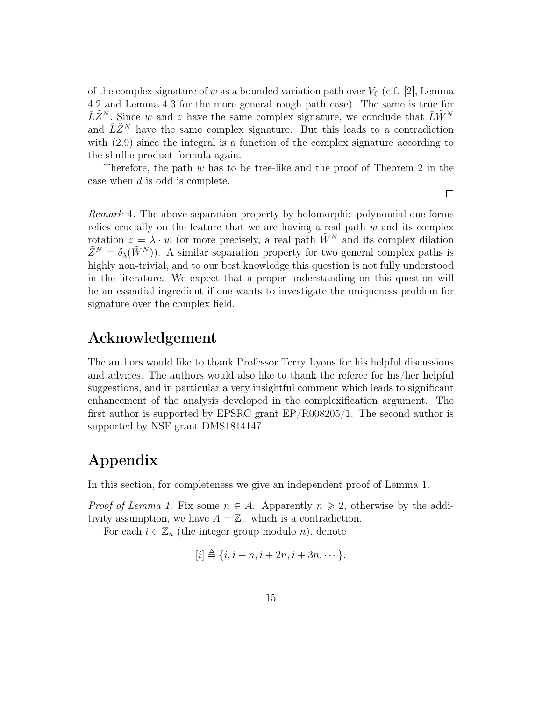of the complex signature of w as a bounded variation path over  $V_{\mathbb{C}}$  (c.f. [2], Lemma 4.2 and Lemma 4.3 for the more general rough path case). The same is true for  $\bar{L}\tilde{Z}^N$ . Since w and z have the same complex signature, we conclude that  $\bar{L}\tilde{W}^N$ and  $\overline{L}\tilde{Z}^N$  have the same complex signature. But this leads to a contradiction with (2.9) since the integral is a function of the complex signature according to the shuffle product formula again.

Therefore, the path  $w$  has to be tree-like and the proof of Theorem 2 in the case when d is odd is complete.

 $\Box$ 

Remark 4. The above separation property by holomorphic polynomial one forms relies crucially on the feature that we are having a real path  $w$  and its complex rotation  $z = \lambda \cdot w$  (or more precisely, a real path  $\tilde{W}^N$  and its complex dilation  $\tilde{Z}^N = \delta_{\lambda}(\tilde{W}^N)$ . A similar separation property for two general complex paths is highly non-trivial, and to our best knowledge this question is not fully understood in the literature. We expect that a proper understanding on this question will be an essential ingredient if one wants to investigate the uniqueness problem for signature over the complex field.

# Acknowledgement

The authors would like to thank Professor Terry Lyons for his helpful discussions and advices. The authors would also like to thank the referee for his/her helpful suggestions, and in particular a very insightful comment which leads to significant enhancement of the analysis developed in the complexification argument. The first author is supported by EPSRC grant EP/R008205/1. The second author is supported by NSF grant DMS1814147.

# Appendix

In this section, for completeness we give an independent proof of Lemma 1.

*Proof of Lemma 1.* Fix some  $n \in A$ . Apparently  $n \geq 2$ , otherwise by the additivity assumption, we have  $A = \mathbb{Z}_+$  which is a contradiction.

For each  $i \in \mathbb{Z}_n$  (the integer group modulo n), denote

$$
[i] \triangleq \{i, i+n, i+2n, i+3n, \cdots\}.
$$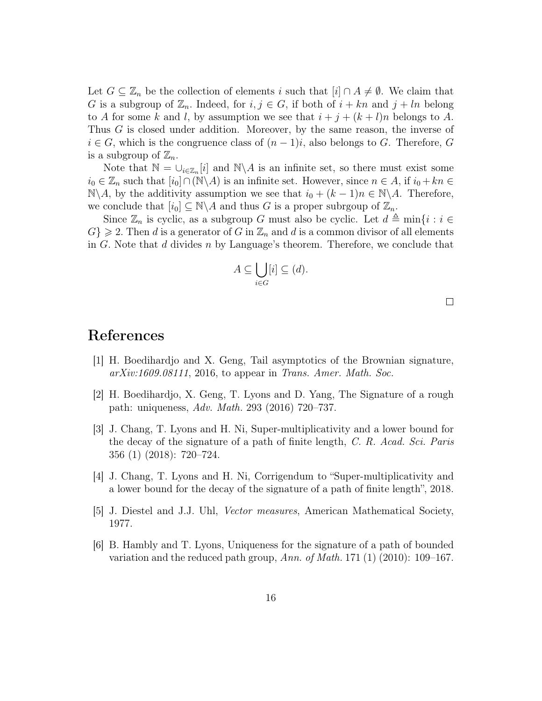Let  $G \subseteq \mathbb{Z}_n$  be the collection of elements i such that  $[i] \cap A \neq \emptyset$ . We claim that G is a subgroup of  $\mathbb{Z}_n$ . Indeed, for  $i, j \in G$ , if both of  $i + kn$  and  $j + ln$  belong to A for some k and l, by assumption we see that  $i + j + (k + l)n$  belongs to A. Thus G is closed under addition. Moreover, by the same reason, the inverse of  $i \in G$ , which is the congruence class of  $(n-1)i$ , also belongs to G. Therefore, G is a subgroup of  $\mathbb{Z}_n$ .

Note that  $\mathbb{N} = \bigcup_{i \in \mathbb{Z}_n}[i]$  and  $\mathbb{N} \setminus A$  is an infinite set, so there must exist some  $i_0 \in \mathbb{Z}_n$  such that  $[i_0] \cap (\mathbb{N} \backslash A)$  is an infinite set. However, since  $n \in A$ , if  $i_0 + k n \in \mathbb{Z}_n$  $\mathbb{N}\backslash A$ , by the additivity assumption we see that  $i_0 + (k-1)n \in \mathbb{N}\backslash A$ . Therefore, we conclude that  $[i_0] \subseteq \mathbb{N} \backslash A$  and thus G is a proper subrgoup of  $\mathbb{Z}_n$ .

Since  $\mathbb{Z}_n$  is cyclic, as a subgroup G must also be cyclic. Let  $d \triangleq \min\{i : i \in \mathbb{Z}_n\}$  $G \geqslant 2$ . Then d is a generator of G in  $\mathbb{Z}_n$  and d is a common divisor of all elements in G. Note that d divides n by Language's theorem. Therefore, we conclude that

$$
A \subseteq \bigcup_{i \in G} [i] \subseteq (d).
$$

 $\Box$ 

### References

- [1] H. Boedihardjo and X. Geng, Tail asymptotics of the Brownian signature,  $arXiv:1609.08111$ , 2016, to appear in Trans. Amer. Math. Soc.
- [2] H. Boedihardjo, X. Geng, T. Lyons and D. Yang, The Signature of a rough path: uniqueness, Adv. Math. 293 (2016) 720–737.
- [3] J. Chang, T. Lyons and H. Ni, Super-multiplicativity and a lower bound for the decay of the signature of a path of finite length, C. R. Acad. Sci. Paris 356 (1) (2018): 720–724.
- [4] J. Chang, T. Lyons and H. Ni, Corrigendum to "Super-multiplicativity and a lower bound for the decay of the signature of a path of finite length", 2018.
- [5] J. Diestel and J.J. Uhl, Vector measures, American Mathematical Society, 1977.
- [6] B. Hambly and T. Lyons, Uniqueness for the signature of a path of bounded variation and the reduced path group, Ann. of Math. 171 (1) (2010): 109–167.